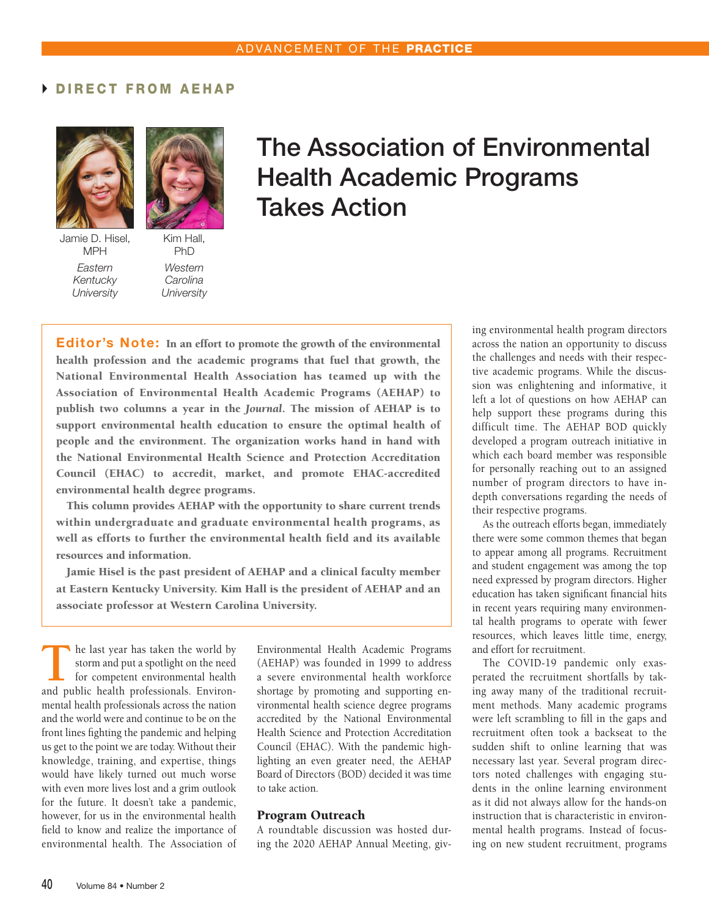# DIRECT FROM AEHAP



Jamie D. Hisel, MPH *Eastern Kentucky University*



*Western Carolina University*

The Association of Environmental Health Academic Programs Takes Action

Editor's Note: In an effort to promote the growth of the environmental health profession and the academic programs that fuel that growth, the National Environmental Health Association has teamed up with the Association of Environmental Health Academic Programs (AEHAP) to publish two columns a year in the *Journal*. The mission of AEHAP is to support environmental health education to ensure the optimal health of people and the environment. The organization works hand in hand with the National Environmental Health Science and Protection Accreditation Council (EHAC) to accredit, market, and promote EHAC-accredited environmental health degree programs.

This column provides AEHAP with the opportunity to share current trends within undergraduate and graduate environmental health programs, as well as efforts to further the environmental health field and its available resources and information.

Jamie Hisel is the past president of AEHAP and a clinical faculty member at Eastern Kentucky University. Kim Hall is the president of AEHAP and an associate professor at Western Carolina University.

**T**he last year has taken the world by storm and put a spotlight on the need for competent environmental health and public health professionals. Environmental health professionals across the nation and the world were and continue to be on the front lines fighting the pandemic and helping us get to the point we are today. Without their knowledge, training, and expertise, things would have likely turned out much worse with even more lives lost and a grim outlook for the future. It doesn't take a pandemic, however, for us in the environmental health field to know and realize the importance of environmental health. The Association of

Environmental Health Academic Programs (AEHAP) was founded in 1999 to address a severe environmental health workforce shortage by promoting and supporting environmental health science degree programs accredited by the National Environmental Health Science and Protection Accreditation Council (EHAC). With the pandemic highlighting an even greater need, the AEHAP Board of Directors (BOD) decided it was time to take action.

#### Program Outreach

A roundtable discussion was hosted during the 2020 AEHAP Annual Meeting, giving environmental health program directors across the nation an opportunity to discuss the challenges and needs with their respective academic programs. While the discussion was enlightening and informative, it left a lot of questions on how AEHAP can help support these programs during this difficult time. The AEHAP BOD quickly developed a program outreach initiative in which each board member was responsible for personally reaching out to an assigned number of program directors to have indepth conversations regarding the needs of their respective programs.

As the outreach efforts began, immediately there were some common themes that began to appear among all programs. Recruitment and student engagement was among the top need expressed by program directors. Higher education has taken significant financial hits in recent years requiring many environmental health programs to operate with fewer resources, which leaves little time, energy, and effort for recruitment.

The COVID-19 pandemic only exasperated the recruitment shortfalls by taking away many of the traditional recruitment methods. Many academic programs were left scrambling to fill in the gaps and recruitment often took a backseat to the sudden shift to online learning that was necessary last year. Several program directors noted challenges with engaging students in the online learning environment as it did not always allow for the hands-on instruction that is characteristic in environmental health programs. Instead of focusing on new student recruitment, programs